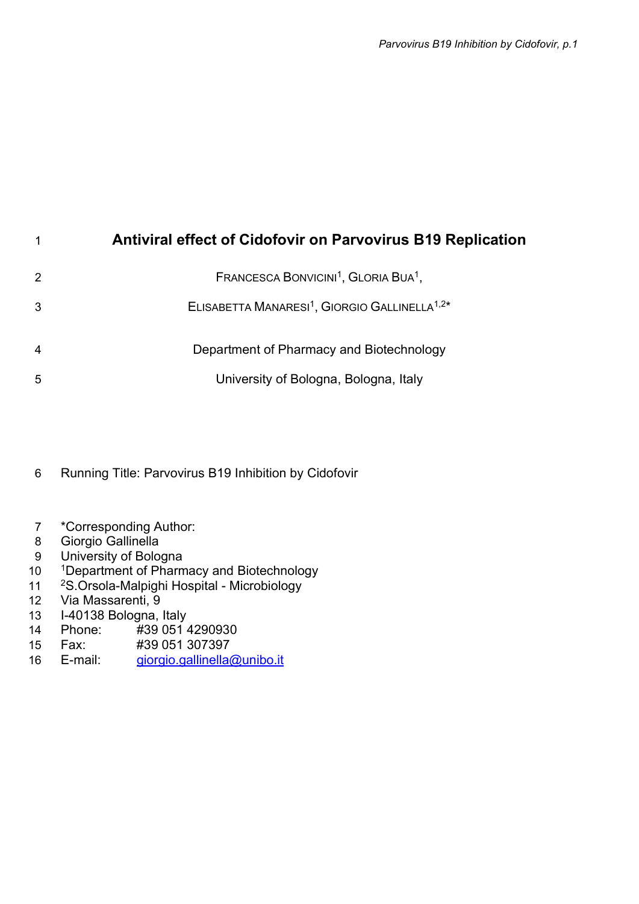# Antiviral effect of Cidofovir on Parvovirus B19 Replication

|                | FRANCESCA BONVICINI <sup>1</sup> , GLORIA BUA <sup>1</sup> ,          |
|----------------|-----------------------------------------------------------------------|
| 3              | ELISABETTA MANARESI <sup>1</sup> , GIORGIO GALLINELLA <sup>1,2*</sup> |
| $\overline{4}$ | Department of Pharmacy and Biotechnology                              |
| 5              | University of Bologna, Bologna, Italy                                 |

Running Title: Parvovirus B19 Inhibition by Cidofovir

- \*Corresponding Author:
- Giorgio Gallinella
- University of Bologna
- 10 1Department of Pharmacy and Biotechnology
- <sup>2</sup>S.Orsola-Malpighi Hospital Microbiology
- Via Massarenti, 9
- I-40138 Bologna, Italy
- Phone: #39 051 4290930
- Fax: #39 051 307397
- E-mail: giorgio.gallinella@unibo.it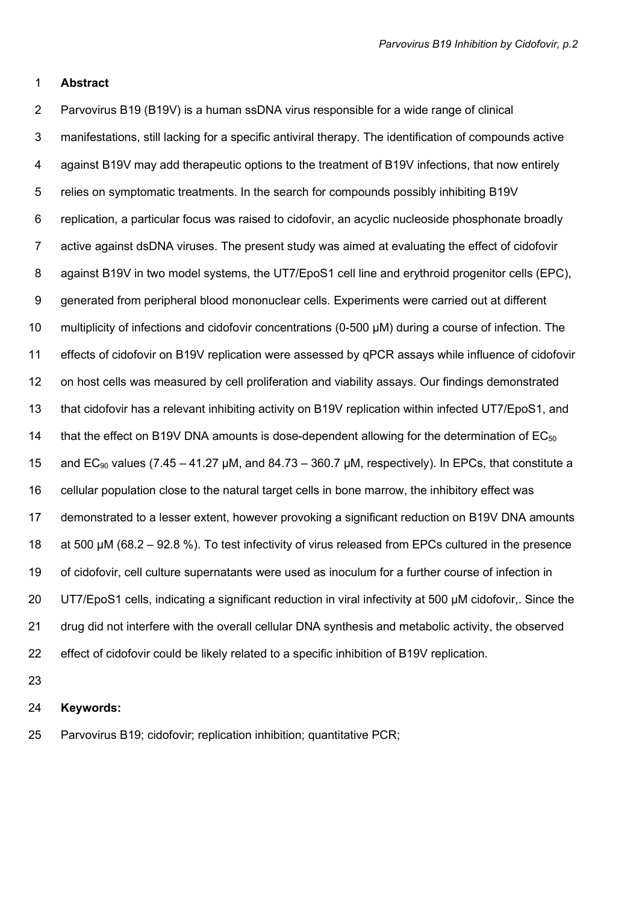#### 1 Abstract

2 Parvovirus B19 (B19V) is a human ssDNA virus responsible for a wide range of clinical 3 manifestations, still lacking for a specific antiviral therapy. The identification of compounds active 4 against B19V may add therapeutic options to the treatment of B19V infections, that now entirely 5 relies on symptomatic treatments. In the search for compounds possibly inhibiting B19V 6 replication, a particular focus was raised to cidofovir, an acyclic nucleoside phosphonate broadly 7 active against dsDNA viruses. The present study was aimed at evaluating the effect of cidofovir 8 against B19V in two model systems, the UT7/EpoS1 cell line and erythroid progenitor cells (EPC), 9 generated from peripheral blood mononuclear cells. Experiments were carried out at different 10 multiplicity of infections and cidofovir concentrations (0-500 µM) during a course of infection. The 11 effects of cidofovir on B19V replication were assessed by qPCR assays while influence of cidofovir 12 on host cells was measured by cell proliferation and viability assays. Our findings demonstrated 13 that cidofovir has a relevant inhibiting activity on B19V replication within infected UT7/EpoS1, and 14 that the effect on B19V DNA amounts is dose-dependent allowing for the determination of  $EC_{50}$ 15 and EC<sub>90</sub> values (7.45 – 41.27 µM, and 84.73 – 360.7 µM, respectively). In EPCs, that constitute a 16 cellular population close to the natural target cells in bone marrow, the inhibitory effect was 17 demonstrated to a lesser extent, however provoking a significant reduction on B19V DNA amounts 18 at 500 µM (68.2 – 92.8 %). To test infectivity of virus released from EPCs cultured in the presence 19 of cidofovir, cell culture supernatants were used as inoculum for a further course of infection in 20 UT7/EpoS1 cells, indicating a significant reduction in viral infectivity at 500 µM cidofovir,. Since the 21 drug did not interfere with the overall cellular DNA synthesis and metabolic activity, the observed 22 effect of cidofovir could be likely related to a specific inhibition of B19V replication.

23

#### 24 Keywords:

25 Parvovirus B19; cidofovir; replication inhibition; quantitative PCR;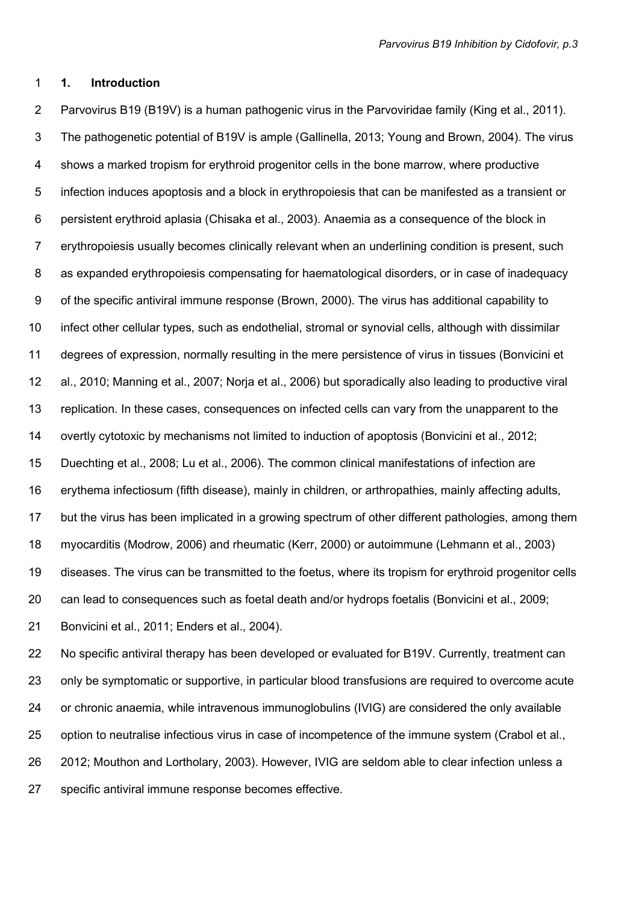# 1 1. Introduction

2 Parvovirus B19 (B19V) is a human pathogenic virus in the Parvoviridae family (King et al., 2011). 3 The pathogenetic potential of B19V is ample (Gallinella, 2013; Young and Brown, 2004). The virus 4 shows a marked tropism for erythroid progenitor cells in the bone marrow, where productive 5 infection induces apoptosis and a block in erythropoiesis that can be manifested as a transient or 6 persistent erythroid aplasia (Chisaka et al., 2003). Anaemia as a consequence of the block in 7 erythropoiesis usually becomes clinically relevant when an underlining condition is present, such 8 as expanded erythropoiesis compensating for haematological disorders, or in case of inadequacy 9 of the specific antiviral immune response (Brown, 2000). The virus has additional capability to 10 infect other cellular types, such as endothelial, stromal or synovial cells, although with dissimilar 11 degrees of expression, normally resulting in the mere persistence of virus in tissues (Bonvicini et 12 al., 2010; Manning et al., 2007; Norja et al., 2006) but sporadically also leading to productive viral 13 replication. In these cases, consequences on infected cells can vary from the unapparent to the 14 overtly cytotoxic by mechanisms not limited to induction of apoptosis (Bonvicini et al., 2012; 15 Duechting et al., 2008; Lu et al., 2006). The common clinical manifestations of infection are 16 erythema infectiosum (fifth disease), mainly in children, or arthropathies, mainly affecting adults, 17 but the virus has been implicated in a growing spectrum of other different pathologies, among them 18 myocarditis (Modrow, 2006) and rheumatic (Kerr, 2000) or autoimmune (Lehmann et al., 2003) 19 diseases. The virus can be transmitted to the foetus, where its tropism for erythroid progenitor cells 20 can lead to consequences such as foetal death and/or hydrops foetalis (Bonvicini et al., 2009; 21 Bonvicini et al., 2011; Enders et al., 2004).

22 No specific antiviral therapy has been developed or evaluated for B19V. Currently, treatment can 23 only be symptomatic or supportive, in particular blood transfusions are required to overcome acute 24 or chronic anaemia, while intravenous immunoglobulins (IVIG) are considered the only available 25 option to neutralise infectious virus in case of incompetence of the immune system (Crabol et al., 26 2012; Mouthon and Lortholary, 2003). However, IVIG are seldom able to clear infection unless a 27 specific antiviral immune response becomes effective.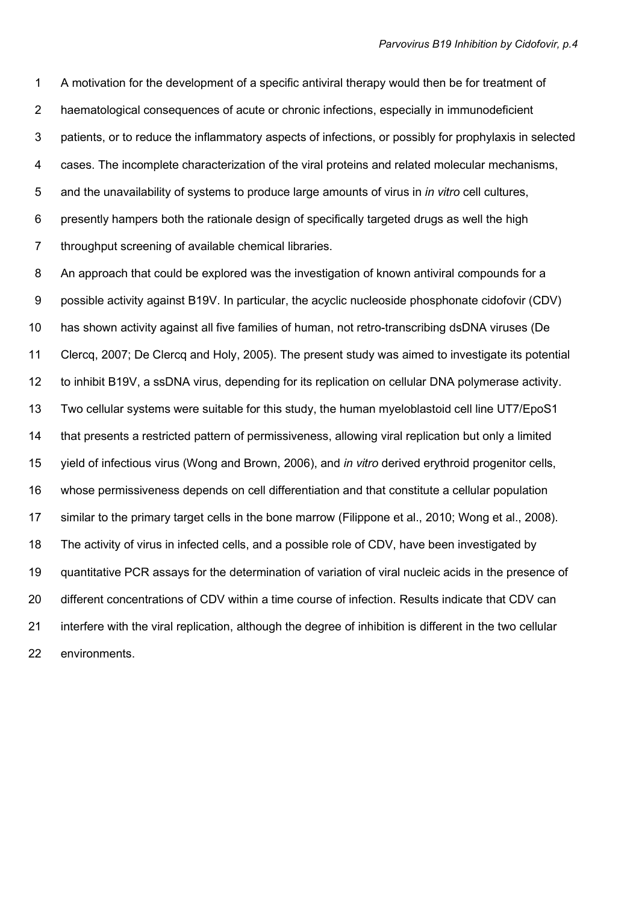1 A motivation for the development of a specific antiviral therapy would then be for treatment of 2 haematological consequences of acute or chronic infections, especially in immunodeficient 3 patients, or to reduce the inflammatory aspects of infections, or possibly for prophylaxis in selected 4 cases. The incomplete characterization of the viral proteins and related molecular mechanisms, 5 and the unavailability of systems to produce large amounts of virus in *in vitro* cell cultures, 6 presently hampers both the rationale design of specifically targeted drugs as well the high 7 throughput screening of available chemical libraries.

8 An approach that could be explored was the investigation of known antiviral compounds for a 9 possible activity against B19V. In particular, the acyclic nucleoside phosphonate cidofovir (CDV) 10 has shown activity against all five families of human, not retro-transcribing dsDNA viruses (De 11 Clercq, 2007; De Clercq and Holy, 2005). The present study was aimed to investigate its potential 12 to inhibit B19V, a ssDNA virus, depending for its replication on cellular DNA polymerase activity. 13 Two cellular systems were suitable for this study, the human myeloblastoid cell line UT7/EpoS1 14 that presents a restricted pattern of permissiveness, allowing viral replication but only a limited 15 yield of infectious virus (Wong and Brown, 2006), and in vitro derived erythroid progenitor cells, 16 whose permissiveness depends on cell differentiation and that constitute a cellular population 17 similar to the primary target cells in the bone marrow (Filippone et al., 2010; Wong et al., 2008). 18 The activity of virus in infected cells, and a possible role of CDV, have been investigated by 19 quantitative PCR assays for the determination of variation of viral nucleic acids in the presence of 20 different concentrations of CDV within a time course of infection. Results indicate that CDV can 21 interfere with the viral replication, although the degree of inhibition is different in the two cellular 22 environments.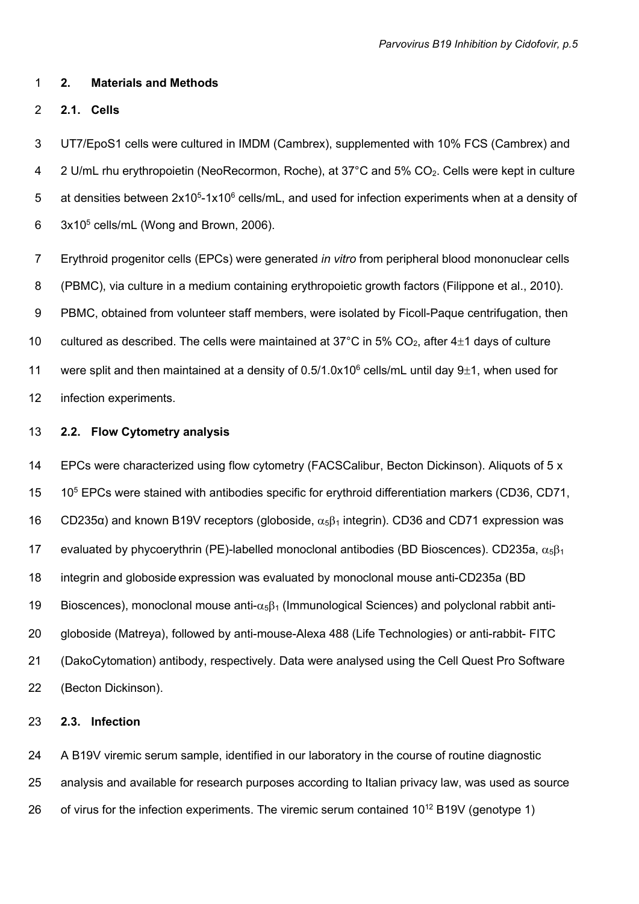#### 1 2. Materials and Methods

2 2.1. Cells

3 UT7/EpoS1 cells were cultured in IMDM (Cambrex), supplemented with 10% FCS (Cambrex) and 4 2 U/mL rhu erythropoietin (NeoRecormon, Roche), at 37°C and 5% CO<sub>2</sub>. Cells were kept in culture 5 at densities between  $2x10^5$ -1x10<sup>6</sup> cells/mL, and used for infection experiments when at a density of 6  $3x10^5$  cells/mL (Wong and Brown, 2006).

7 Erythroid progenitor cells (EPCs) were generated in vitro from peripheral blood mononuclear cells 8 (PBMC), via culture in a medium containing erythropoietic growth factors (Filippone et al., 2010). 9 PBMC, obtained from volunteer staff members, were isolated by Ficoll-Paque centrifugation, then 10 cultured as described. The cells were maintained at 37°C in 5%  $CO<sub>2</sub>$ , after 4 $\pm$ 1 days of culture 11 were split and then maintained at a density of  $0.5/1.0x10^6$  cells/mL until day 9 $\pm$ 1, when used for 12 infection experiments.

# 13 2.2. Flow Cytometry analysis

14 EPCs were characterized using flow cytometry (FACSCalibur, Becton Dickinson). Aliquots of 5 x 15 10<sup>5</sup> EPCs were stained with antibodies specific for erythroid differentiation markers (CD36, CD71, 16 CD235 $\alpha$ ) and known B19V receptors (globoside,  $\alpha_5\beta_1$  integrin). CD36 and CD71 expression was 17 evaluated by phycoerythrin (PE)-labelled monoclonal antibodies (BD Bioscences). CD235a,  $\alpha_5\beta_1$ 18 integrin and globoside expression was evaluated by monoclonal mouse anti-CD235a (BD 19 Bioscences), monoclonal mouse anti- $\alpha_5\beta_1$  (Immunological Sciences) and polyclonal rabbit anti-20 globoside (Matreya), followed by anti-mouse-Alexa 488 (Life Technologies) or anti-rabbit- FITC 21 (DakoCytomation) antibody, respectively. Data were analysed using the Cell Quest Pro Software 22 (Becton Dickinson).

# 23 2.3. Infection

24 A B19V viremic serum sample, identified in our laboratory in the course of routine diagnostic 25 analysis and available for research purposes according to Italian privacy law, was used as source 26 of virus for the infection experiments. The viremic serum contained  $10^{12} B19V$  (genotype 1)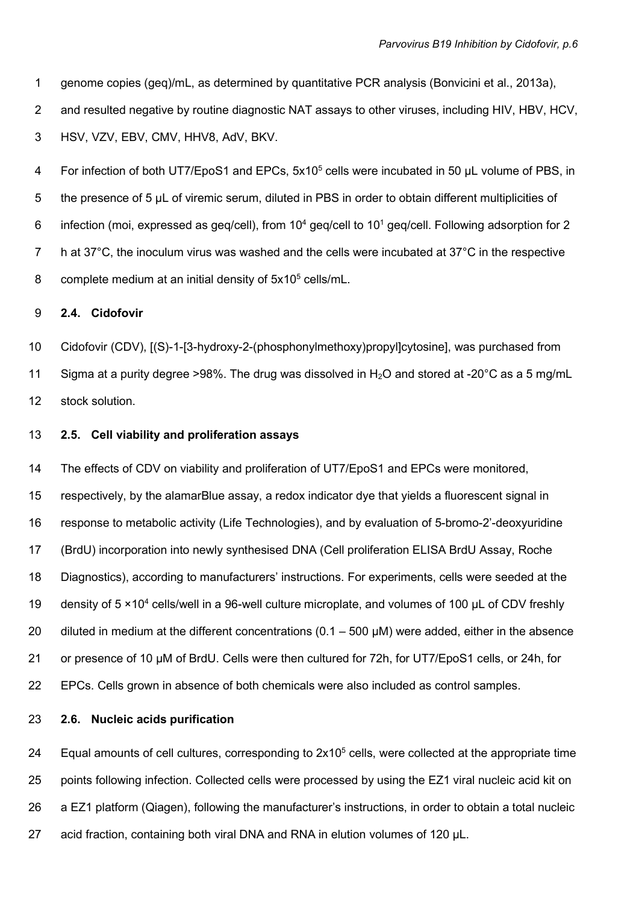1 genome copies (geq)/mL, as determined by quantitative PCR analysis (Bonvicini et al., 2013a), 2 and resulted negative by routine diagnostic NAT assays to other viruses, including HIV, HBV, HCV, 3 HSV, VZV, EBV, CMV, HHV8, AdV, BKV.

4 For infection of both UT7/EpoS1 and EPCs, 5x10<sup>5</sup> cells were incubated in 50 µL volume of PBS, in 5 the presence of 5 µL of viremic serum, diluted in PBS in order to obtain different multiplicities of 6 infection (moi, expressed as geq/cell), from  $10^4$  geq/cell to  $10^1$  geq/cell. Following adsorption for 2 7 h at 37°C, the inoculum virus was washed and the cells were incubated at 37°C in the respective 8 complete medium at an initial density of  $5x10<sup>5</sup>$  cells/mL.

## 9 2.4. Cidofovir

10 Cidofovir (CDV), [(S)-1-[3-hydroxy-2-(phosphonylmethoxy)propyl]cytosine], was purchased from 11 Sigma at a purity degree >98%. The drug was dissolved in  $H_2O$  and stored at -20 $^{\circ}$ C as a 5 mg/mL 12 stock solution.

### 13 2.5. Cell viability and proliferation assays

14 The effects of CDV on viability and proliferation of UT7/EpoS1 and EPCs were monitored, 15 respectively, by the alamarBlue assay, a redox indicator dye that yields a fluorescent signal in 16 response to metabolic activity (Life Technologies), and by evaluation of 5-bromo-2'-deoxyuridine 17 (BrdU) incorporation into newly synthesised DNA (Cell proliferation ELISA BrdU Assay, Roche 18 Diagnostics), according to manufacturers' instructions. For experiments, cells were seeded at the 19 density of  $5 \times 10^4$  cells/well in a 96-well culture microplate, and volumes of 100 µL of CDV freshly 20 diluted in medium at the different concentrations  $(0.1 - 500 \mu M)$  were added, either in the absence 21 or presence of 10 µM of BrdU. Cells were then cultured for 72h, for UT7/EpoS1 cells, or 24h, for 22 EPCs. Cells grown in absence of both chemicals were also included as control samples.

# 23 2.6. Nucleic acids purification

24 Equal amounts of cell cultures, corresponding to  $2x10<sup>5</sup>$  cells, were collected at the appropriate time 25 points following infection. Collected cells were processed by using the EZ1 viral nucleic acid kit on 26 a EZ1 platform (Qiagen), following the manufacturer's instructions, in order to obtain a total nucleic 27 acid fraction, containing both viral DNA and RNA in elution volumes of 120 µL.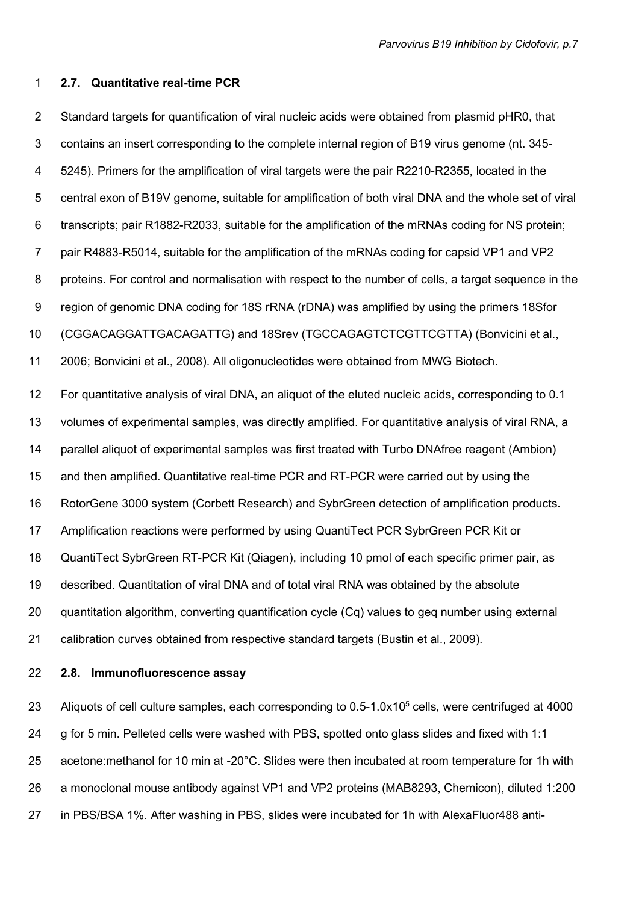#### 1 2.7. Quantitative real-time PCR

2 Standard targets for quantification of viral nucleic acids were obtained from plasmid pHR0, that 3 contains an insert corresponding to the complete internal region of B19 virus genome (nt. 345- 4 5245). Primers for the amplification of viral targets were the pair R2210-R2355, located in the 5 central exon of B19V genome, suitable for amplification of both viral DNA and the whole set of viral 6 transcripts; pair R1882-R2033, suitable for the amplification of the mRNAs coding for NS protein; 7 pair R4883-R5014, suitable for the amplification of the mRNAs coding for capsid VP1 and VP2 8 proteins. For control and normalisation with respect to the number of cells, a target sequence in the 9 region of genomic DNA coding for 18S rRNA (rDNA) was amplified by using the primers 18Sfor 10 (CGGACAGGATTGACAGATTG) and 18Srev (TGCCAGAGTCTCGTTCGTTA) (Bonvicini et al., 11 2006; Bonvicini et al., 2008). All oligonucleotides were obtained from MWG Biotech. 12 For quantitative analysis of viral DNA, an aliquot of the eluted nucleic acids, corresponding to 0.1 13 volumes of experimental samples, was directly amplified. For quantitative analysis of viral RNA, a 14 parallel aliquot of experimental samples was first treated with Turbo DNAfree reagent (Ambion) 15 and then amplified. Quantitative real-time PCR and RT-PCR were carried out by using the 16 RotorGene 3000 system (Corbett Research) and SybrGreen detection of amplification products. 17 Amplification reactions were performed by using QuantiTect PCR SybrGreen PCR Kit or 18 QuantiTect SybrGreen RT-PCR Kit (Qiagen), including 10 pmol of each specific primer pair, as 19 described. Quantitation of viral DNA and of total viral RNA was obtained by the absolute 20 quantitation algorithm, converting quantification cycle (Cq) values to geq number using external 21 calibration curves obtained from respective standard targets (Bustin et al., 2009).

22 2.8. Immunofluorescence assay

23 Aliquots of cell culture samples, each corresponding to 0.5-1.0x10<sup>5</sup> cells, were centrifuged at 4000 24 g for 5 min. Pelleted cells were washed with PBS, spotted onto glass slides and fixed with 1:1 25 acetone:methanol for 10 min at -20°C. Slides were then incubated at room temperature for 1h with 26 a monoclonal mouse antibody against VP1 and VP2 proteins (MAB8293, Chemicon), diluted 1:200 27 in PBS/BSA 1%. After washing in PBS, slides were incubated for 1h with AlexaFluor488 anti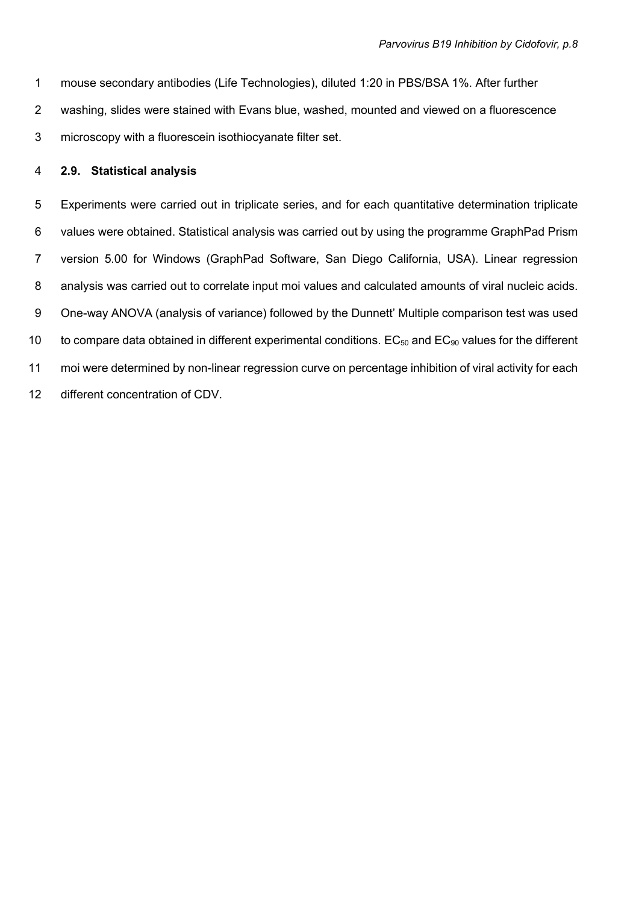1 mouse secondary antibodies (Life Technologies), diluted 1:20 in PBS/BSA 1%. After further 2 washing, slides were stained with Evans blue, washed, mounted and viewed on a fluorescence 3 microscopy with a fluorescein isothiocyanate filter set.

# 4 2.9. Statistical analysis

5 Experiments were carried out in triplicate series, and for each quantitative determination triplicate 6 values were obtained. Statistical analysis was carried out by using the programme GraphPad Prism 7 version 5.00 for Windows (GraphPad Software, San Diego California, USA). Linear regression 8 analysis was carried out to correlate input moi values and calculated amounts of viral nucleic acids. 9 One-way ANOVA (analysis of variance) followed by the Dunnett' Multiple comparison test was used 10 to compare data obtained in different experimental conditions.  $EC_{50}$  and  $EC_{90}$  values for the different 11 moi were determined by non-linear regression curve on percentage inhibition of viral activity for each 12 different concentration of CDV.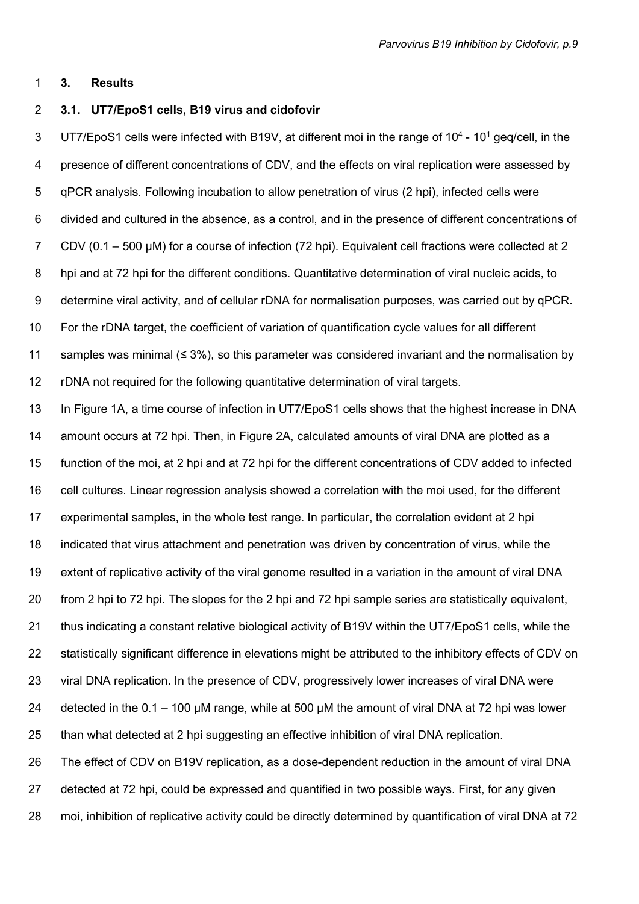#### 1 3. Results

#### 2 3.1. UT7/EpoS1 cells, B19 virus and cidofovir

3 UT7/EpoS1 cells were infected with B19V, at different moi in the range of  $10^4$  -  $10^1$  geq/cell, in the 4 presence of different concentrations of CDV, and the effects on viral replication were assessed by 5 qPCR analysis. Following incubation to allow penetration of virus (2 hpi), infected cells were 6 divided and cultured in the absence, as a control, and in the presence of different concentrations of 7 CDV (0.1 – 500 µM) for a course of infection (72 hpi). Equivalent cell fractions were collected at 2 8 hpi and at 72 hpi for the different conditions. Quantitative determination of viral nucleic acids, to 9 determine viral activity, and of cellular rDNA for normalisation purposes, was carried out by qPCR. 10 For the rDNA target, the coefficient of variation of quantification cycle values for all different 11 samples was minimal (≤ 3%), so this parameter was considered invariant and the normalisation by 12 rDNA not required for the following quantitative determination of viral targets. 13 In Figure 1A, a time course of infection in UT7/EpoS1 cells shows that the highest increase in DNA 14 amount occurs at 72 hpi. Then, in Figure 2A, calculated amounts of viral DNA are plotted as a 15 function of the moi, at 2 hpi and at 72 hpi for the different concentrations of CDV added to infected 16 cell cultures. Linear regression analysis showed a correlation with the moi used, for the different 17 experimental samples, in the whole test range. In particular, the correlation evident at 2 hpi 18 indicated that virus attachment and penetration was driven by concentration of virus, while the

19 extent of replicative activity of the viral genome resulted in a variation in the amount of viral DNA

20 from 2 hpi to 72 hpi. The slopes for the 2 hpi and 72 hpi sample series are statistically equivalent,

21 thus indicating a constant relative biological activity of B19V within the UT7/EpoS1 cells, while the

22 statistically significant difference in elevations might be attributed to the inhibitory effects of CDV on

23 viral DNA replication. In the presence of CDV, progressively lower increases of viral DNA were

24 detected in the  $0.1 - 100 \mu$ M range, while at 500  $\mu$ M the amount of viral DNA at 72 hpi was lower

25 than what detected at 2 hpi suggesting an effective inhibition of viral DNA replication.

26 The effect of CDV on B19V replication, as a dose-dependent reduction in the amount of viral DNA 27 detected at 72 hpi, could be expressed and quantified in two possible ways. First, for any given 28 moi, inhibition of replicative activity could be directly determined by quantification of viral DNA at 72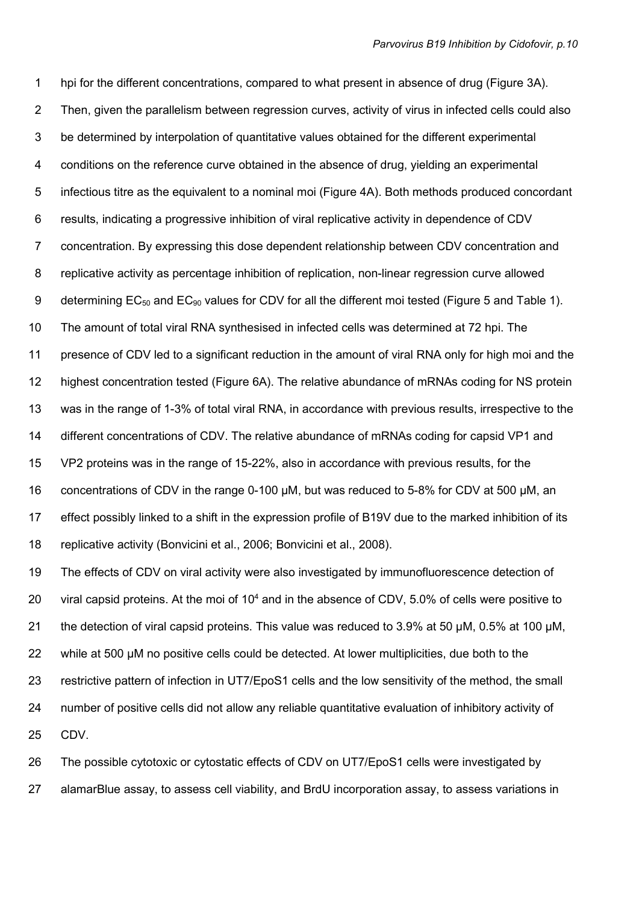1 hpi for the different concentrations, compared to what present in absence of drug (Figure 3A). 2 Then, given the parallelism between regression curves, activity of virus in infected cells could also 3 be determined by interpolation of quantitative values obtained for the different experimental 4 conditions on the reference curve obtained in the absence of drug, yielding an experimental 5 infectious titre as the equivalent to a nominal moi (Figure 4A). Both methods produced concordant 6 results, indicating a progressive inhibition of viral replicative activity in dependence of CDV 7 concentration. By expressing this dose dependent relationship between CDV concentration and 8 replicative activity as percentage inhibition of replication, non-linear regression curve allowed 9 determining EC<sub>50</sub> and EC<sub>90</sub> values for CDV for all the different moi tested (Figure 5 and Table 1). 10 The amount of total viral RNA synthesised in infected cells was determined at 72 hpi. The 11 presence of CDV led to a significant reduction in the amount of viral RNA only for high moi and the 12 highest concentration tested (Figure 6A). The relative abundance of mRNAs coding for NS protein 13 was in the range of 1-3% of total viral RNA, in accordance with previous results, irrespective to the 14 different concentrations of CDV. The relative abundance of mRNAs coding for capsid VP1 and 15 VP2 proteins was in the range of 15-22%, also in accordance with previous results, for the 16 concentrations of CDV in the range 0-100 µM, but was reduced to 5-8% for CDV at 500 µM, an 17 effect possibly linked to a shift in the expression profile of B19V due to the marked inhibition of its 18 replicative activity (Bonvicini et al., 2006; Bonvicini et al., 2008).

19 The effects of CDV on viral activity were also investigated by immunofluorescence detection of 20 viral capsid proteins. At the moi of  $10<sup>4</sup>$  and in the absence of CDV, 5.0% of cells were positive to 21 the detection of viral capsid proteins. This value was reduced to 3.9% at 50 µM, 0.5% at 100 µM, 22 while at 500 µM no positive cells could be detected. At lower multiplicities, due both to the 23 restrictive pattern of infection in UT7/EpoS1 cells and the low sensitivity of the method, the small 24 number of positive cells did not allow any reliable quantitative evaluation of inhibitory activity of 25 CDV.

26 The possible cytotoxic or cytostatic effects of CDV on UT7/EpoS1 cells were investigated by 27 alamarBlue assay, to assess cell viability, and BrdU incorporation assay, to assess variations in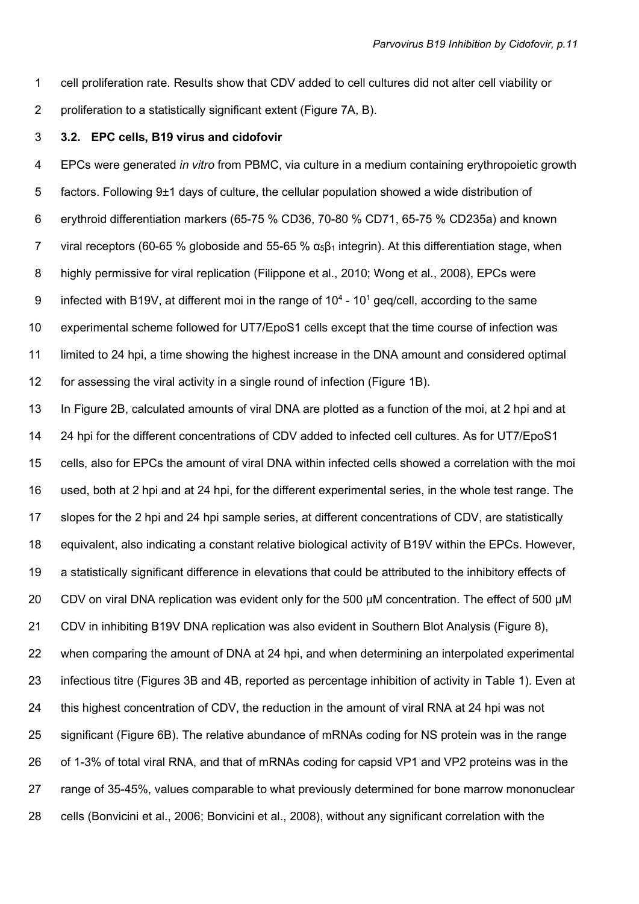- 1 cell proliferation rate. Results show that CDV added to cell cultures did not alter cell viability or
- 2 proliferation to a statistically significant extent (Figure 7A, B).

# 3 3.2. EPC cells, B19 virus and cidofovir

4 EPCs were generated in vitro from PBMC, via culture in a medium containing erythropoietic growth 5 factors. Following 9±1 days of culture, the cellular population showed a wide distribution of 6 erythroid differentiation markers (65-75 % CD36, 70-80 % CD71, 65-75 % CD235a) and known 7 viral receptors (60-65 % globoside and 55-65 %  $\alpha_5\beta_1$  integrin). At this differentiation stage, when 8 highly permissive for viral replication (Filippone et al., 2010; Wong et al., 2008), EPCs were 9 infected with B19V, at different moi in the range of  $10^4$  -  $10^1$  geq/cell, according to the same 10 experimental scheme followed for UT7/EpoS1 cells except that the time course of infection was 11 limited to 24 hpi, a time showing the highest increase in the DNA amount and considered optimal 12 for assessing the viral activity in a single round of infection (Figure 1B).

13 In Figure 2B, calculated amounts of viral DNA are plotted as a function of the moi, at 2 hpi and at 14 24 hpi for the different concentrations of CDV added to infected cell cultures. As for UT7/EpoS1 15 cells, also for EPCs the amount of viral DNA within infected cells showed a correlation with the moi 16 used, both at 2 hpi and at 24 hpi, for the different experimental series, in the whole test range. The 17 slopes for the 2 hpi and 24 hpi sample series, at different concentrations of CDV, are statistically 18 equivalent, also indicating a constant relative biological activity of B19V within the EPCs. However, 19 a statistically significant difference in elevations that could be attributed to the inhibitory effects of 20 CDV on viral DNA replication was evident only for the 500 µM concentration. The effect of 500 µM 21 CDV in inhibiting B19V DNA replication was also evident in Southern Blot Analysis (Figure 8), 22 when comparing the amount of DNA at 24 hpi, and when determining an interpolated experimental 23 infectious titre (Figures 3B and 4B, reported as percentage inhibition of activity in Table 1). Even at 24 this highest concentration of CDV, the reduction in the amount of viral RNA at 24 hpi was not 25 significant (Figure 6B). The relative abundance of mRNAs coding for NS protein was in the range 26 of 1-3% of total viral RNA, and that of mRNAs coding for capsid VP1 and VP2 proteins was in the 27 range of 35-45%, values comparable to what previously determined for bone marrow mononuclear 28 cells (Bonvicini et al., 2006; Bonvicini et al., 2008), without any significant correlation with the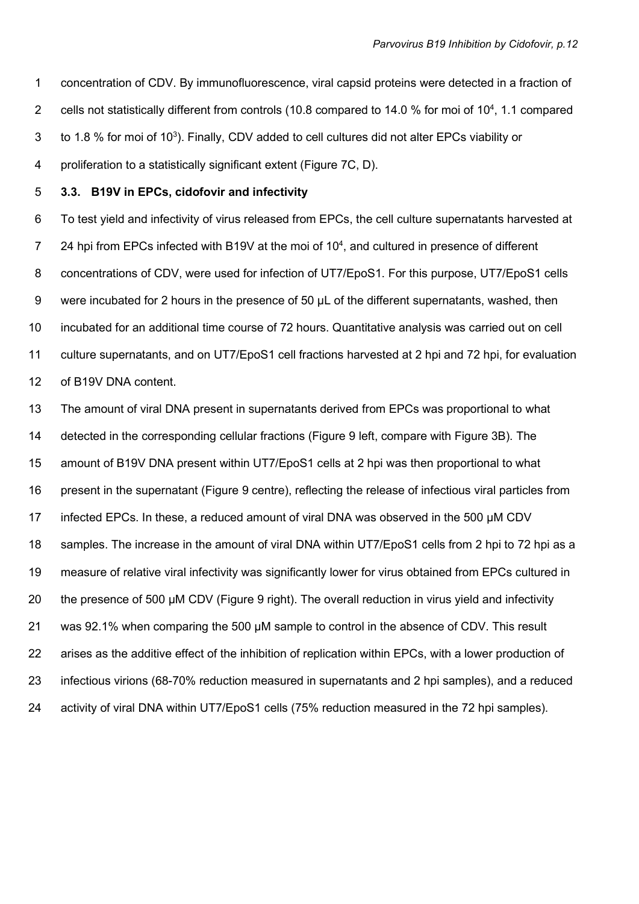1 concentration of CDV. By immunofluorescence, viral capsid proteins were detected in a fraction of 2 cells not statistically different from controls (10.8 compared to 14.0 % for moi of  $10<sup>4</sup>$ , 1.1 compared 3 to 1.8 % for moi of 10<sup>3</sup>). Finally, CDV added to cell cultures did not alter EPCs viability or 4 proliferation to a statistically significant extent (Figure 7C, D).

# 5 3.3. B19V in EPCs, cidofovir and infectivity

6 To test yield and infectivity of virus released from EPCs, the cell culture supernatants harvested at 24 hpi from EPCs infected with B19V at the moi of  $10<sup>4</sup>$ , and cultured in presence of different 8 concentrations of CDV, were used for infection of UT7/EpoS1. For this purpose, UT7/EpoS1 cells 9 were incubated for 2 hours in the presence of 50 µL of the different supernatants, washed, then 10 incubated for an additional time course of 72 hours. Quantitative analysis was carried out on cell 11 culture supernatants, and on UT7/EpoS1 cell fractions harvested at 2 hpi and 72 hpi, for evaluation 12 of B19V DNA content.

13 The amount of viral DNA present in supernatants derived from EPCs was proportional to what 14 detected in the corresponding cellular fractions (Figure 9 left, compare with Figure 3B). The 15 amount of B19V DNA present within UT7/EpoS1 cells at 2 hpi was then proportional to what 16 present in the supernatant (Figure 9 centre), reflecting the release of infectious viral particles from 17 infected EPCs. In these, a reduced amount of viral DNA was observed in the 500 µM CDV 18 samples. The increase in the amount of viral DNA within UT7/EpoS1 cells from 2 hpi to 72 hpi as a 19 measure of relative viral infectivity was significantly lower for virus obtained from EPCs cultured in 20 the presence of 500 µM CDV (Figure 9 right). The overall reduction in virus yield and infectivity 21 was 92.1% when comparing the 500 µM sample to control in the absence of CDV. This result 22 arises as the additive effect of the inhibition of replication within EPCs, with a lower production of 23 infectious virions (68-70% reduction measured in supernatants and 2 hpi samples), and a reduced 24 activity of viral DNA within UT7/EpoS1 cells (75% reduction measured in the 72 hpi samples).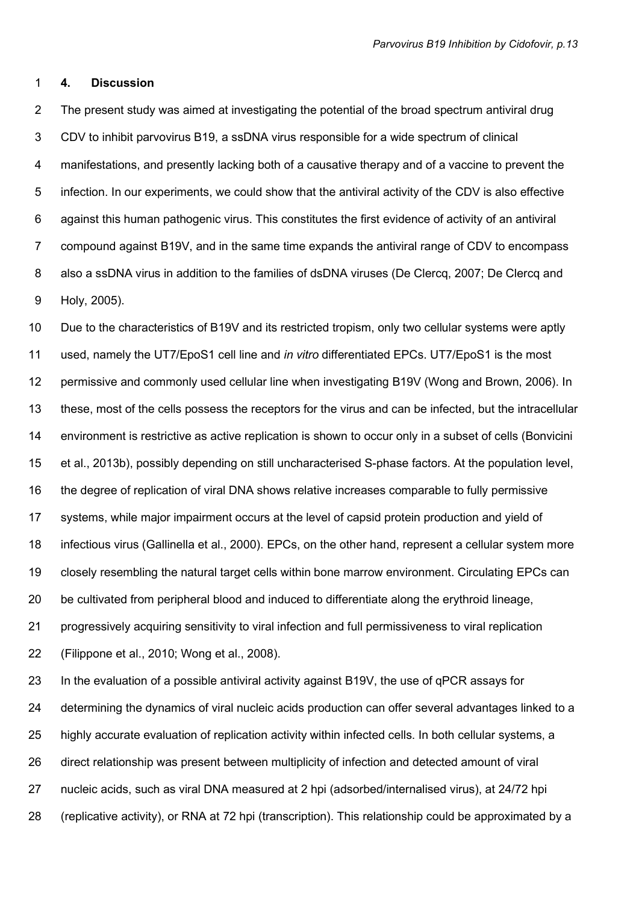#### 1 4. Discussion

2 The present study was aimed at investigating the potential of the broad spectrum antiviral drug 3 CDV to inhibit parvovirus B19, a ssDNA virus responsible for a wide spectrum of clinical 4 manifestations, and presently lacking both of a causative therapy and of a vaccine to prevent the 5 infection. In our experiments, we could show that the antiviral activity of the CDV is also effective 6 against this human pathogenic virus. This constitutes the first evidence of activity of an antiviral 7 compound against B19V, and in the same time expands the antiviral range of CDV to encompass 8 also a ssDNA virus in addition to the families of dsDNA viruses (De Clercq, 2007; De Clercq and 9 Holy, 2005).

10 Due to the characteristics of B19V and its restricted tropism, only two cellular systems were aptly 11 used, namely the UT7/EpoS1 cell line and in vitro differentiated EPCs. UT7/EpoS1 is the most 12 permissive and commonly used cellular line when investigating B19V (Wong and Brown, 2006). In 13 these, most of the cells possess the receptors for the virus and can be infected, but the intracellular 14 environment is restrictive as active replication is shown to occur only in a subset of cells (Bonvicini 15 et al., 2013b), possibly depending on still uncharacterised S-phase factors. At the population level, 16 the degree of replication of viral DNA shows relative increases comparable to fully permissive 17 systems, while major impairment occurs at the level of capsid protein production and yield of 18 infectious virus (Gallinella et al., 2000). EPCs, on the other hand, represent a cellular system more 19 closely resembling the natural target cells within bone marrow environment. Circulating EPCs can 20 be cultivated from peripheral blood and induced to differentiate along the erythroid lineage, 21 progressively acquiring sensitivity to viral infection and full permissiveness to viral replication 22 (Filippone et al., 2010; Wong et al., 2008).

23 In the evaluation of a possible antiviral activity against B19V, the use of qPCR assays for 24 determining the dynamics of viral nucleic acids production can offer several advantages linked to a 25 highly accurate evaluation of replication activity within infected cells. In both cellular systems, a 26 direct relationship was present between multiplicity of infection and detected amount of viral 27 nucleic acids, such as viral DNA measured at 2 hpi (adsorbed/internalised virus), at 24/72 hpi 28 (replicative activity), or RNA at 72 hpi (transcription). This relationship could be approximated by a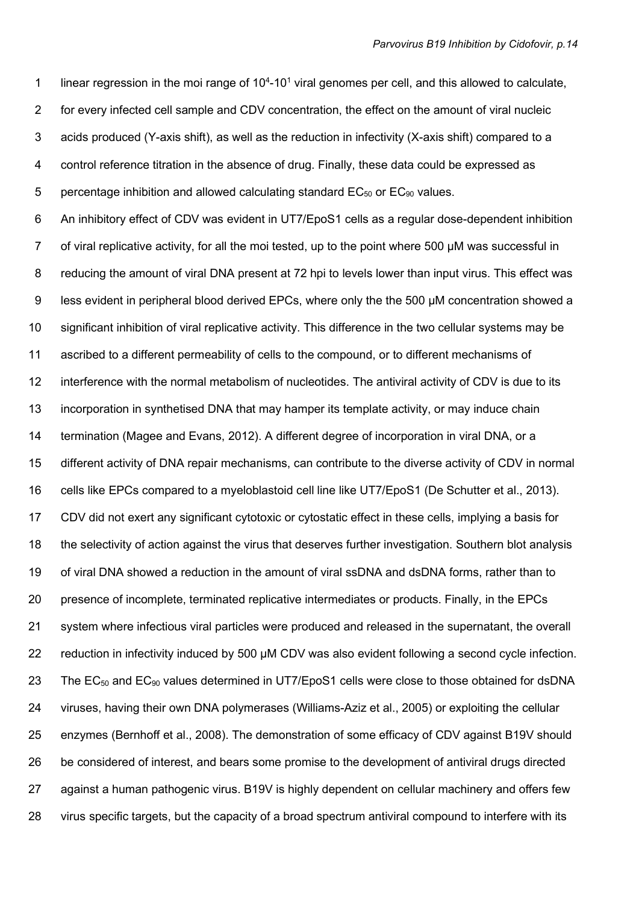1 linear regression in the moi range of  $10<sup>4</sup>$ -10<sup>1</sup> viral genomes per cell, and this allowed to calculate, 2 for every infected cell sample and CDV concentration, the effect on the amount of viral nucleic 3 acids produced (Y-axis shift), as well as the reduction in infectivity (X-axis shift) compared to a 4 control reference titration in the absence of drug. Finally, these data could be expressed as 5 percentage inhibition and allowed calculating standard  $EC_{50}$  or  $EC_{90}$  values.

6 An inhibitory effect of CDV was evident in UT7/EpoS1 cells as a regular dose-dependent inhibition 7 of viral replicative activity, for all the moi tested, up to the point where 500 µM was successful in 8 reducing the amount of viral DNA present at 72 hpi to levels lower than input virus. This effect was 9 less evident in peripheral blood derived EPCs, where only the the 500 µM concentration showed a 10 significant inhibition of viral replicative activity. This difference in the two cellular systems may be 11 ascribed to a different permeability of cells to the compound, or to different mechanisms of 12 interference with the normal metabolism of nucleotides. The antiviral activity of CDV is due to its 13 incorporation in synthetised DNA that may hamper its template activity, or may induce chain 14 termination (Magee and Evans, 2012). A different degree of incorporation in viral DNA, or a 15 different activity of DNA repair mechanisms, can contribute to the diverse activity of CDV in normal 16 cells like EPCs compared to a myeloblastoid cell line like UT7/EpoS1 (De Schutter et al., 2013). 17 CDV did not exert any significant cytotoxic or cytostatic effect in these cells, implying a basis for 18 the selectivity of action against the virus that deserves further investigation. Southern blot analysis 19 of viral DNA showed a reduction in the amount of viral ssDNA and dsDNA forms, rather than to 20 presence of incomplete, terminated replicative intermediates or products. Finally, in the EPCs 21 system where infectious viral particles were produced and released in the supernatant, the overall 22 reduction in infectivity induced by 500 µM CDV was also evident following a second cycle infection. 23 The  $EC_{50}$  and  $EC_{90}$  values determined in UT7/EpoS1 cells were close to those obtained for dsDNA 24 viruses, having their own DNA polymerases (Williams-Aziz et al., 2005) or exploiting the cellular 25 enzymes (Bernhoff et al., 2008). The demonstration of some efficacy of CDV against B19V should 26 be considered of interest, and bears some promise to the development of antiviral drugs directed 27 against a human pathogenic virus. B19V is highly dependent on cellular machinery and offers few 28 virus specific targets, but the capacity of a broad spectrum antiviral compound to interfere with its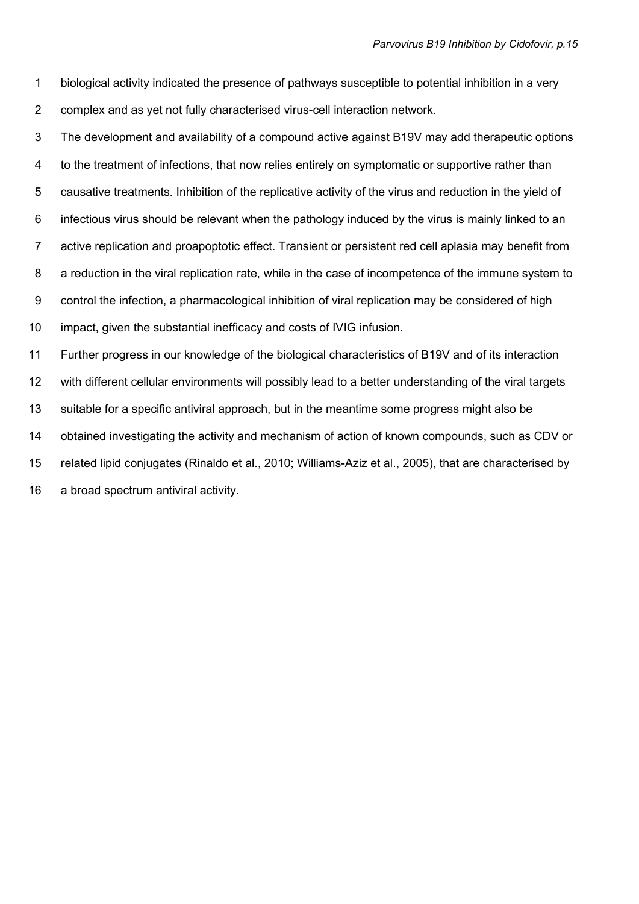1 biological activity indicated the presence of pathways susceptible to potential inhibition in a very 2 complex and as yet not fully characterised virus-cell interaction network.

3 The development and availability of a compound active against B19V may add therapeutic options 4 to the treatment of infections, that now relies entirely on symptomatic or supportive rather than 5 causative treatments. Inhibition of the replicative activity of the virus and reduction in the yield of 6 infectious virus should be relevant when the pathology induced by the virus is mainly linked to an 7 active replication and proapoptotic effect. Transient or persistent red cell aplasia may benefit from 8 a reduction in the viral replication rate, while in the case of incompetence of the immune system to 9 control the infection, a pharmacological inhibition of viral replication may be considered of high 10 impact, given the substantial inefficacy and costs of IVIG infusion. 11 Further progress in our knowledge of the biological characteristics of B19V and of its interaction 12 with different cellular environments will possibly lead to a better understanding of the viral targets 13 suitable for a specific antiviral approach, but in the meantime some progress might also be 14 obtained investigating the activity and mechanism of action of known compounds, such as CDV or

15 related lipid conjugates (Rinaldo et al., 2010; Williams-Aziz et al., 2005), that are characterised by

16 a broad spectrum antiviral activity.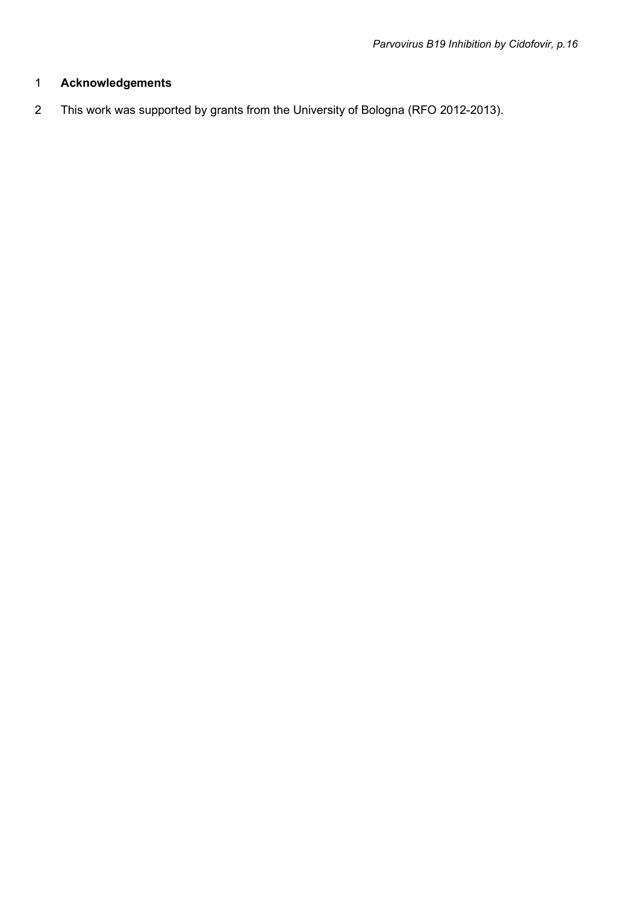# 1 Acknowledgements

2 This work was supported by grants from the University of Bologna (RFO 2012-2013).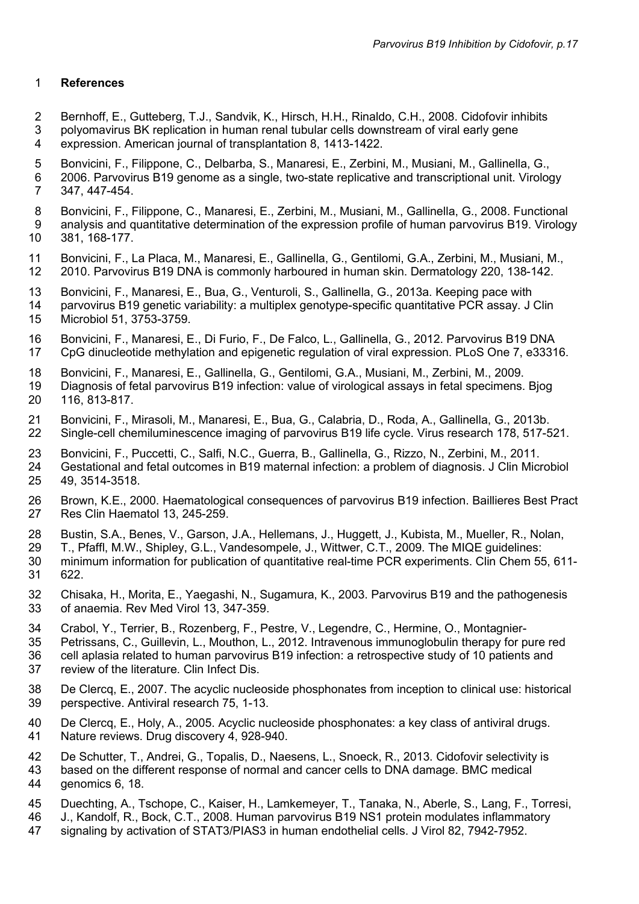# 1 References

- 2 Bernhoff, E., Gutteberg, T.J., Sandvik, K., Hirsch, H.H., Rinaldo, C.H., 2008. Cidofovir inhibits
- 3 polyomavirus BK replication in human renal tubular cells downstream of viral early gene 4 expression. American journal of transplantation 8, 1413-1422.
- 5 Bonvicini, F., Filippone, C., Delbarba, S., Manaresi, E., Zerbini, M., Musiani, M., Gallinella, G.,
- 6 2006. Parvovirus B19 genome as a single, two-state replicative and transcriptional unit. Virology 7 347, 447-454.
- 8 Bonvicini, F., Filippone, C., Manaresi, E., Zerbini, M., Musiani, M., Gallinella, G., 2008. Functional 9 analysis and quantitative determination of the expression profile of human parvovirus B19. Virology 10 381, 168-177.
- 11 Bonvicini, F., La Placa, M., Manaresi, E., Gallinella, G., Gentilomi, G.A., Zerbini, M., Musiani, M., 12 2010. Parvovirus B19 DNA is commonly harboured in human skin. Dermatology 220, 138-142.
- 13 Bonvicini, F., Manaresi, E., Bua, G., Venturoli, S., Gallinella, G., 2013a. Keeping pace with
- 14 parvovirus B19 genetic variability: a multiplex genotype-specific quantitative PCR assay. J Clin 15 Microbiol 51, 3753-3759.
- 16 Bonvicini, F., Manaresi, E., Di Furio, F., De Falco, L., Gallinella, G., 2012. Parvovirus B19 DNA 17 CpG dinucleotide methylation and epigenetic regulation of viral expression. PLoS One 7, e33316.
- 18 Bonvicini, F., Manaresi, E., Gallinella, G., Gentilomi, G.A., Musiani, M., Zerbini, M., 2009.
- 19 Diagnosis of fetal parvovirus B19 infection: value of virological assays in fetal specimens. Bjog 20 116, 813-817.
- 21 Bonvicini, F., Mirasoli, M., Manaresi, E., Bua, G., Calabria, D., Roda, A., Gallinella, G., 2013b. 22 Single-cell chemiluminescence imaging of parvovirus B19 life cycle. Virus research 178, 517-521.
- 23 Bonvicini, F., Puccetti, C., Salfi, N.C., Guerra, B., Gallinella, G., Rizzo, N., Zerbini, M., 2011.
- 24 Gestational and fetal outcomes in B19 maternal infection: a problem of diagnosis. J Clin Microbiol 25 49, 3514-3518.
- 26 Brown, K.E., 2000. Haematological consequences of parvovirus B19 infection. Baillieres Best Pract 27 Res Clin Haematol 13, 245-259.
- 28 Bustin, S.A., Benes, V., Garson, J.A., Hellemans, J., Huggett, J., Kubista, M., Mueller, R., Nolan,
- 29 T., Pfaffl, M.W., Shipley, G.L., Vandesompele, J., Wittwer, C.T., 2009. The MIQE guidelines:
- 30 minimum information for publication of quantitative real-time PCR experiments. Clin Chem 55, 611- 31 622.
- 32 Chisaka, H., Morita, E., Yaegashi, N., Sugamura, K., 2003. Parvovirus B19 and the pathogenesis 33 of anaemia. Rev Med Virol 13, 347-359.
- 34 Crabol, Y., Terrier, B., Rozenberg, F., Pestre, V., Legendre, C., Hermine, O., Montagnier-
- 35 Petrissans, C., Guillevin, L., Mouthon, L., 2012. Intravenous immunoglobulin therapy for pure red
- 36 cell aplasia related to human parvovirus B19 infection: a retrospective study of 10 patients and 37 review of the literature. Clin Infect Dis.
- 38 De Clercq, E., 2007. The acyclic nucleoside phosphonates from inception to clinical use: historical 39 perspective. Antiviral research 75, 1-13.
- 40 De Clercq, E., Holy, A., 2005. Acyclic nucleoside phosphonates: a key class of antiviral drugs. 41 Nature reviews. Drug discovery 4, 928-940.
- 42 De Schutter, T., Andrei, G., Topalis, D., Naesens, L., Snoeck, R., 2013. Cidofovir selectivity is
- 43 based on the different response of normal and cancer cells to DNA damage. BMC medical 44 genomics 6, 18.
- 45 Duechting, A., Tschope, C., Kaiser, H., Lamkemeyer, T., Tanaka, N., Aberle, S., Lang, F., Torresi,
- 
- 46 J., Kandolf, R., Bock, C.T., 2008. Human parvovirus B19 NS1 protein modulates inflammatory signaling by activation of STAT3/PIAS3 in human endothelial cells. J Virol 82, 7942-7952.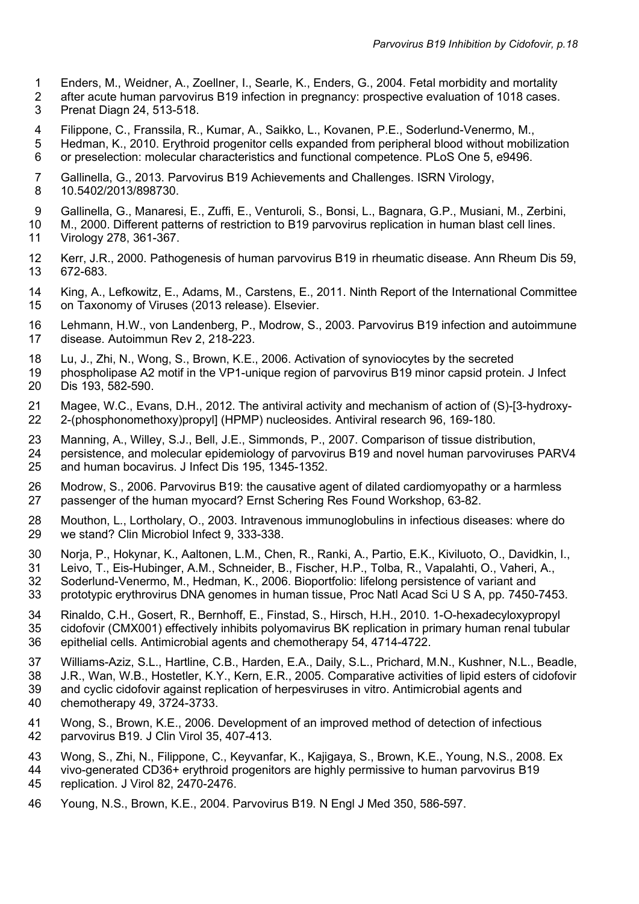- 1 Enders, M., Weidner, A., Zoellner, I., Searle, K., Enders, G., 2004. Fetal morbidity and mortality
- 2 after acute human parvovirus B19 infection in pregnancy: prospective evaluation of 1018 cases.
- 3 Prenat Diagn 24, 513-518.
- 4 Filippone, C., Franssila, R., Kumar, A., Saikko, L., Kovanen, P.E., Soderlund-Venermo, M.,
- 5 Hedman, K., 2010. Erythroid progenitor cells expanded from peripheral blood without mobilization 6 or preselection: molecular characteristics and functional competence. PLoS One 5, e9496.
- 7 Gallinella, G., 2013. Parvovirus B19 Achievements and Challenges. ISRN Virology, 8 10.5402/2013/898730.
- 9 Gallinella, G., Manaresi, E., Zuffi, E., Venturoli, S., Bonsi, L., Bagnara, G.P., Musiani, M., Zerbini, 10 M., 2000. Different patterns of restriction to B19 parvovirus replication in human blast cell lines. 11 Virology 278, 361-367.
- 12 Kerr, J.R., 2000. Pathogenesis of human parvovirus B19 in rheumatic disease. Ann Rheum Dis 59, 13 672-683.
- 14 King, A., Lefkowitz, E., Adams, M., Carstens, E., 2011. Ninth Report of the International Committee 15 on Taxonomy of Viruses (2013 release). Elsevier.
- 16 Lehmann, H.W., von Landenberg, P., Modrow, S., 2003. Parvovirus B19 infection and autoimmune 17 disease. Autoimmun Rev 2, 218-223.
- 18 Lu, J., Zhi, N., Wong, S., Brown, K.E., 2006. Activation of synoviocytes by the secreted
- 19 phospholipase A2 motif in the VP1-unique region of parvovirus B19 minor capsid protein. J Infect 20 Dis 193, 582-590.
- 21 Magee, W.C., Evans, D.H., 2012. The antiviral activity and mechanism of action of (S)-[3-hydroxy-22 2-(phosphonomethoxy)propyl] (HPMP) nucleosides. Antiviral research 96, 169-180.
- 23 Manning, A., Willey, S.J., Bell, J.E., Simmonds, P., 2007. Comparison of tissue distribution,<br>24 Dersistence, and molecular epidemiology of parvovirus B19 and novel human parvoviruses 24 persistence, and molecular epidemiology of parvovirus B19 and novel human parvoviruses PARV4 25 and human bocavirus. J Infect Dis 195, 1345-1352.
- 26 Modrow, S., 2006. Parvovirus B19: the causative agent of dilated cardiomyopathy or a harmless 27 passenger of the human myocard? Ernst Schering Res Found Workshop, 63-82.
- 28 Mouthon, L., Lortholary, O., 2003. Intravenous immunoglobulins in infectious diseases: where do 29 we stand? Clin Microbiol Infect 9, 333-338.
- 30 Norja, P., Hokynar, K., Aaltonen, L.M., Chen, R., Ranki, A., Partio, E.K., Kiviluoto, O., Davidkin, I.,
- 31 Leivo, T., Eis-Hubinger, A.M., Schneider, B., Fischer, H.P., Tolba, R., Vapalahti, O., Vaheri, A.,
- 32 Soderlund-Venermo, M., Hedman, K., 2006. Bioportfolio: lifelong persistence of variant and 33 prototypic erythrovirus DNA genomes in human tissue, Proc Natl Acad Sci U S A, pp. 7450-7453.
- 34 Rinaldo, C.H., Gosert, R., Bernhoff, E., Finstad, S., Hirsch, H.H., 2010. 1-O-hexadecyloxypropyl 35 cidofovir (CMX001) effectively inhibits polyomavirus BK replication in primary human renal tubular 36 epithelial cells. Antimicrobial agents and chemotherapy 54, 4714-4722.
- 37 Williams-Aziz, S.L., Hartline, C.B., Harden, E.A., Daily, S.L., Prichard, M.N., Kushner, N.L., Beadle, 38 J.R., Wan, W.B., Hostetler, K.Y., Kern, E.R., 2005. Comparative activities of lipid esters of cidofovir 39 and cyclic cidofovir against replication of herpesviruses in vitro. Antimicrobial agents and 40 chemotherapy 49, 3724-3733.
- 41 Wong, S., Brown, K.E., 2006. Development of an improved method of detection of infectious<br>42 parvovirus B19. J Clin Virol 35, 407-413. parvovirus B19. J Clin Virol 35, 407-413.
- 43 Wong, S., Zhi, N., Filippone, C., Keyvanfar, K., Kajigaya, S., Brown, K.E., Young, N.S., 2008. Ex
- 44 vivo-generated CD36+ erythroid progenitors are highly permissive to human parvovirus B19 45 replication. J Virol 82, 2470-2476.
- 46 Young, N.S., Brown, K.E., 2004. Parvovirus B19. N Engl J Med 350, 586-597.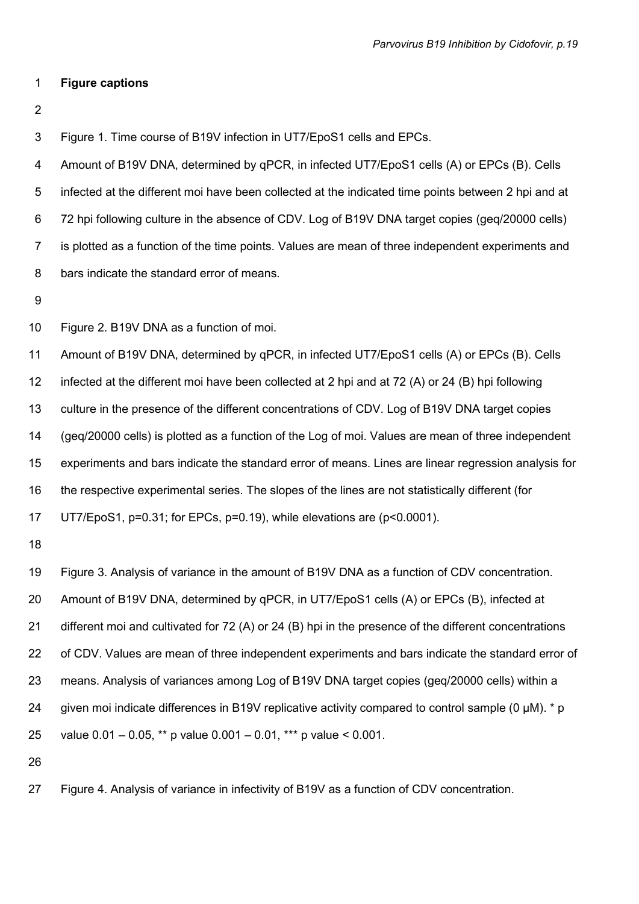#### 1 Figure captions

2

3 Figure 1. Time course of B19V infection in UT7/EpoS1 cells and EPCs.

4 Amount of B19V DNA, determined by qPCR, in infected UT7/EpoS1 cells (A) or EPCs (B). Cells 5 infected at the different moi have been collected at the indicated time points between 2 hpi and at 6 72 hpi following culture in the absence of CDV. Log of B19V DNA target copies (geq/20000 cells) 7 is plotted as a function of the time points. Values are mean of three independent experiments and 8 bars indicate the standard error of means.

9

10 Figure 2. B19V DNA as a function of moi.

11 Amount of B19V DNA, determined by qPCR, in infected UT7/EpoS1 cells (A) or EPCs (B). Cells

12 infected at the different moi have been collected at 2 hpi and at 72 (A) or 24 (B) hpi following

13 culture in the presence of the different concentrations of CDV. Log of B19V DNA target copies

14 (geq/20000 cells) is plotted as a function of the Log of moi. Values are mean of three independent

15 experiments and bars indicate the standard error of means. Lines are linear regression analysis for

16 the respective experimental series. The slopes of the lines are not statistically different (for

17 UT7/EpoS1, p=0.31; for EPCs, p=0.19), while elevations are (p<0.0001).

18

19 Figure 3. Analysis of variance in the amount of B19V DNA as a function of CDV concentration.

20 Amount of B19V DNA, determined by qPCR, in UT7/EpoS1 cells (A) or EPCs (B), infected at

21 different moi and cultivated for 72 (A) or 24 (B) hpi in the presence of the different concentrations

22 of CDV. Values are mean of three independent experiments and bars indicate the standard error of

23 means. Analysis of variances among Log of B19V DNA target copies (geq/20000 cells) within a

24 given moi indicate differences in B19V replicative activity compared to control sample (0  $\mu$ M).  $*$  p

25 value 0.01 – 0.05, \*\* p value 0.001 – 0.01, \*\*\* p value < 0.001.

26

27 Figure 4. Analysis of variance in infectivity of B19V as a function of CDV concentration.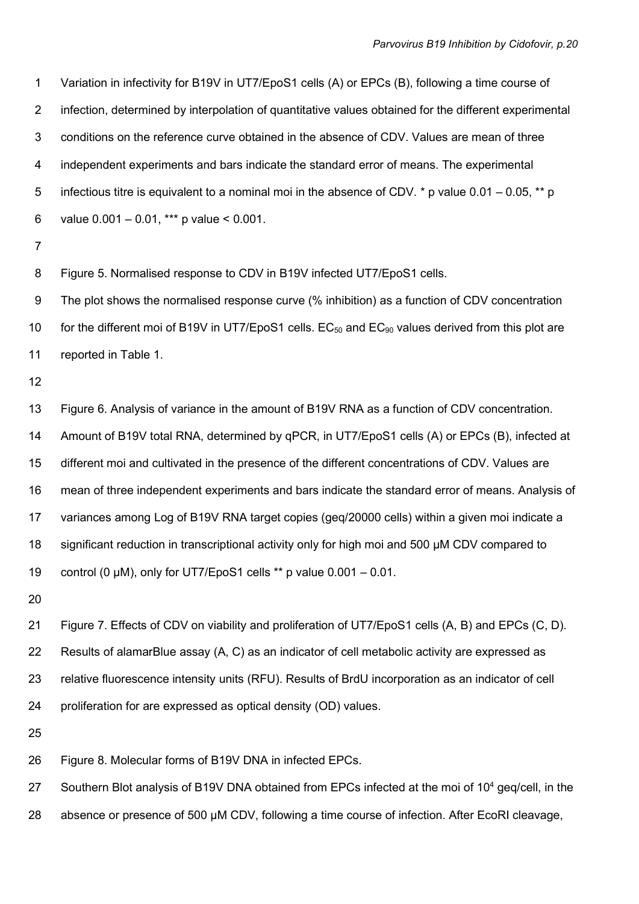1 Variation in infectivity for B19V in UT7/EpoS1 cells (A) or EPCs (B), following a time course of 2 infection, determined by interpolation of quantitative values obtained for the different experimental 3 conditions on the reference curve obtained in the absence of CDV. Values are mean of three 4 independent experiments and bars indicate the standard error of means. The experimental 5 infectious titre is equivalent to a nominal moi in the absence of CDV. \* p value 0.01 – 0.05, \*\* p 6 value  $0.001 - 0.01$ , \*\*\* p value < 0.001.

7

8 Figure 5. Normalised response to CDV in B19V infected UT7/EpoS1 cells.

9 The plot shows the normalised response curve (% inhibition) as a function of CDV concentration 10 for the different moi of B19V in UT7/EpoS1 cells.  $EC_{50}$  and  $EC_{90}$  values derived from this plot are 11 reported in Table 1.

12

13 Figure 6. Analysis of variance in the amount of B19V RNA as a function of CDV concentration. 14 Amount of B19V total RNA, determined by qPCR, in UT7/EpoS1 cells (A) or EPCs (B), infected at 15 different moi and cultivated in the presence of the different concentrations of CDV. Values are 16 mean of three independent experiments and bars indicate the standard error of means. Analysis of 17 variances among Log of B19V RNA target copies (geq/20000 cells) within a given moi indicate a 18 significant reduction in transcriptional activity only for high moi and 500 µM CDV compared to 19 control (0  $\mu$ M), only for UT7/EpoS1 cells \*\* p value  $0.001 - 0.01$ .

20

21 Figure 7. Effects of CDV on viability and proliferation of UT7/EpoS1 cells (A, B) and EPCs (C, D). 22 Results of alamarBlue assay (A, C) as an indicator of cell metabolic activity are expressed as 23 relative fluorescence intensity units (RFU). Results of BrdU incorporation as an indicator of cell 24 proliferation for are expressed as optical density (OD) values.

25

26 Figure 8. Molecular forms of B19V DNA in infected EPCs.

27 Southern Blot analysis of B19V DNA obtained from EPCs infected at the moi of  $10<sup>4</sup>$  geq/cell, in the

28 absence or presence of 500 µM CDV, following a time course of infection. After EcoRI cleavage,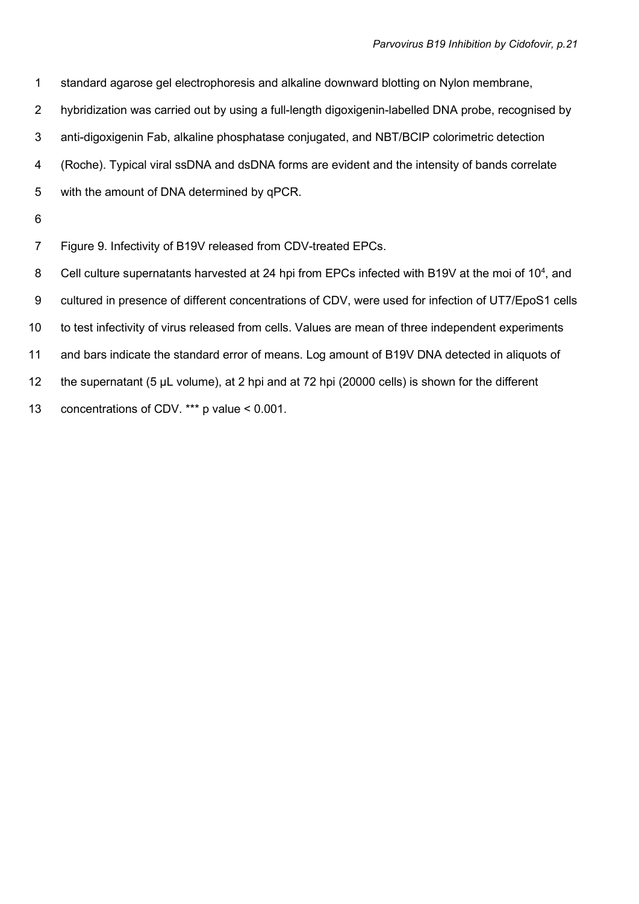1 standard agarose gel electrophoresis and alkaline downward blotting on Nylon membrane,

2 hybridization was carried out by using a full-length digoxigenin-labelled DNA probe, recognised by

3 anti-digoxigenin Fab, alkaline phosphatase conjugated, and NBT/BCIP colorimetric detection

4 (Roche). Typical viral ssDNA and dsDNA forms are evident and the intensity of bands correlate

- 5 with the amount of DNA determined by qPCR.
- 6

7 Figure 9. Infectivity of B19V released from CDV-treated EPCs.

8 Cell culture supernatants harvested at 24 hpi from EPCs infected with B19V at the moi of 10<sup>4</sup>, and

9 cultured in presence of different concentrations of CDV, were used for infection of UT7/EpoS1 cells

10 to test infectivity of virus released from cells. Values are mean of three independent experiments

11 and bars indicate the standard error of means. Log amount of B19V DNA detected in aliquots of

12 the supernatant (5 µL volume), at 2 hpi and at 72 hpi (20000 cells) is shown for the different

13 concentrations of CDV. \*\*\* p value < 0.001.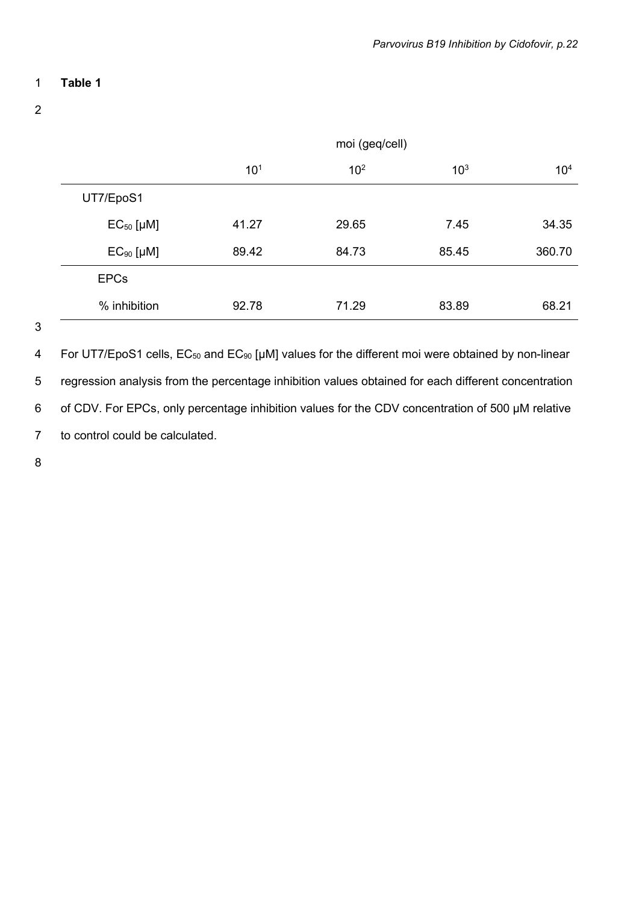# 1 Table 1

2

|                | moi (geq/cell)  |                 |                 |                 |
|----------------|-----------------|-----------------|-----------------|-----------------|
|                | 10 <sup>1</sup> | 10 <sup>2</sup> | 10 <sup>3</sup> | 10 <sup>4</sup> |
| UT7/EpoS1      |                 |                 |                 |                 |
| $EC50$ [µM]    | 41.27           | 29.65           | 7.45            | 34.35           |
| $EC_{90}$ [µM] | 89.42           | 84.73           | 85.45           | 360.70          |
| <b>EPCs</b>    |                 |                 |                 |                 |
| % inhibition   | 92.78           | 71.29           | 83.89           | 68.21           |

3

4 For UT7/EpoS1 cells, EC<sub>50</sub> and EC<sub>90</sub> [µM] values for the different moi were obtained by non-linear 5 regression analysis from the percentage inhibition values obtained for each different concentration 6 of CDV. For EPCs, only percentage inhibition values for the CDV concentration of 500 µM relative 7 to control could be calculated.

8